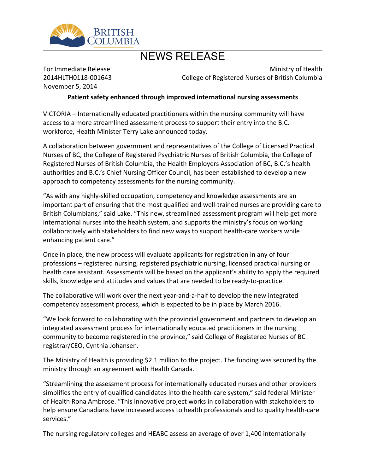

## NEWS RELEASE

For Immediate Release 2014HLTH0118-001643 November 5, 2014

Ministry of Health College of Registered Nurses of British Columbia

**Patient safety enhanced through improved international nursing assessments**

VICTORIA – Internationally educated practitioners within the nursing community will have access to a more streamlined assessment process to support their entry into the B.C. workforce, Health Minister Terry Lake announced today.

A collaboration between government and representatives of the College of Licensed Practical Nurses of BC, the College of Registered Psychiatric Nurses of British Columbia, the College of Registered Nurses of British Columbia, the Health Employers Association of BC, B.C.'s health authorities and B.C.'s Chief Nursing Officer Council, has been established to develop a new approach to competency assessments for the nursing community.

"As with any highly-skilled occupation, competency and knowledge assessments are an important part of ensuring that the most qualified and well-trained nurses are providing care to British Columbians," said Lake. "This new, streamlined assessment program will help get more international nurses into the health system, and supports the ministry's focus on working collaboratively with stakeholders to find new ways to support health-care workers while enhancing patient care."

Once in place, the new process will evaluate applicants for registration in any of four professions – registered nursing, registered psychiatric nursing, licensed practical nursing or health care assistant. Assessments will be based on the applicant's ability to apply the required skills, knowledge and attitudes and values that are needed to be ready-to-practice.

The collaborative will work over the next year-and-a-half to develop the new integrated competency assessment process, which is expected to be in place by March 2016.

"We look forward to collaborating with the provincial government and partners to develop an integrated assessment process for internationally educated practitioners in the nursing community to become registered in the province," said College of Registered Nurses of BC registrar/CEO, Cynthia Johansen.

The Ministry of Health is providing \$2.1 million to the project. The funding was secured by the ministry through an agreement with Health Canada.

"Streamlining the assessment process for internationally educated nurses and other providers simplifies the entry of qualified candidates into the health-care system," said federal Minister of Health Rona Ambrose. "This innovative project works in collaboration with stakeholders to help ensure Canadians have increased access to health professionals and to quality health-care services."

The nursing regulatory colleges and HEABC assess an average of over 1,400 internationally